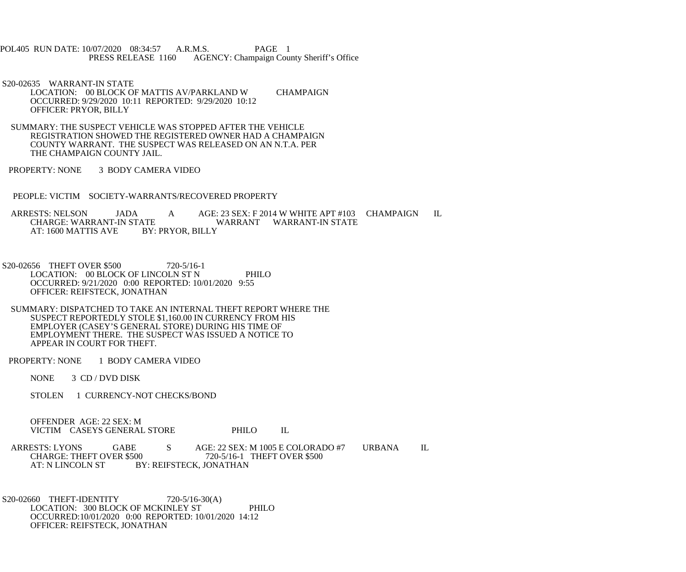POL405 RUN DATE: 10/07/2020 08:34:57 A.R.M.S. PAGE 1<br>PRESS RELEASE 1160 AGENCY: Champaign Cou AGENCY: Champaign County Sheriff's Office

S20-02635 WARRANT-IN STATE

 LOCATION: 00 BLOCK OF MATTIS AV/PARKLAND W CHAMPAIGN OCCURRED: 9/29/2020 10:11 REPORTED: 9/29/2020 10:12 OFFICER: PRYOR, BILLY

 SUMMARY: THE SUSPECT VEHICLE WAS STOPPED AFTER THE VEHICLE REGISTRATION SHOWED THE REGISTERED OWNER HAD A CHAMPAIGN COUNTY WARRANT. THE SUSPECT WAS RELEASED ON AN N.T.A. PER THE CHAMPAIGN COUNTY JAIL.

PROPERTY: NONE 3 BODY CAMERA VIDEO

PEOPLE: VICTIM SOCIETY-WARRANTS/RECOVERED PROPERTY

ARRESTS: NELSON JADA A AGE: 23 SEX: F 2014 W WHITE APT #103 CHAMPAIGN IL CHARGE: WARRANT-IN STATE ATE WARRANT WARRANT-IN STATE<br>BY: PRYOR. BILLY AT: 1600 MATTIS AVE

S20-02656 THEFT OVER \$500 720-5/16-1 LOCATION: 00 BLOCK OF LINCOLN ST N PHILO OCCURRED: 9/21/2020 0:00 REPORTED: 10/01/2020 9:55 OFFICER: REIFSTECK, JONATHAN

 SUMMARY: DISPATCHED TO TAKE AN INTERNAL THEFT REPORT WHERE THE SUSPECT REPORTEDLY STOLE \$1,160.00 IN CURRENCY FROM HIS EMPLOYER (CASEY'S GENERAL STORE) DURING HIS TIME OF EMPLOYMENT THERE. THE SUSPECT WAS ISSUED A NOTICE TO APPEAR IN COURT FOR THEFT.

PROPERTY: NONE 1 BODY CAMERA VIDEO

NONE 3 CD / DVD DISK

STOLEN 1 CURRENCY-NOT CHECKS/BOND

 OFFENDER AGE: 22 SEX: M VICTIM CASEYS GENERAL STORE PHILO IL

ARRESTS: LYONS GABE S AGE: 22 SEX: M 1005 E COLORADO #7 URBANA IL CHARGE: THEFT OVER \$500 720-5/16-1 THEFT OVER \$500 CHARGE: THEFT OVER \$500 720-5/16-1 THEFT OVER \$500<br>AT: N LINCOLN ST BY: REIFSTECK, JONATHAN BY: REIFSTECK, JONATHAN

S20-02660 THEFT-IDENTITY 720-5/16-30(A) LOCATION: 300 BLOCK OF MCKINLEY ST PHILO OCCURRED:10/01/2020 0:00 REPORTED: 10/01/2020 14:12 OFFICER: REIFSTECK, JONATHAN